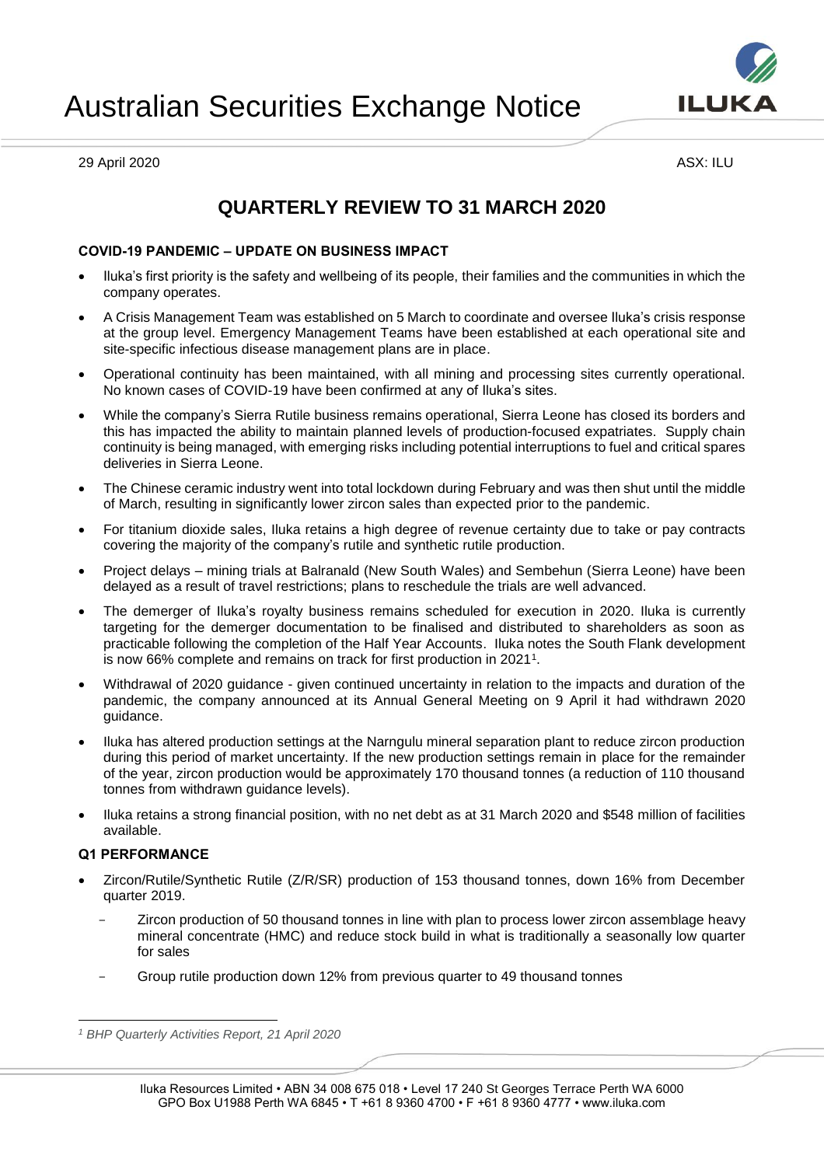



29 April 2020 ASX: ILU

# **QUARTERLY REVIEW TO 31 MARCH 2020**

# **COVID-19 PANDEMIC – UPDATE ON BUSINESS IMPACT**

- Iluka's first priority is the safety and wellbeing of its people, their families and the communities in which the company operates.
- A Crisis Management Team was established on 5 March to coordinate and oversee Iluka's crisis response at the group level. Emergency Management Teams have been established at each operational site and site-specific infectious disease management plans are in place.
- Operational continuity has been maintained, with all mining and processing sites currently operational. No known cases of COVID-19 have been confirmed at any of Iluka's sites.
- While the company's Sierra Rutile business remains operational, Sierra Leone has closed its borders and this has impacted the ability to maintain planned levels of production-focused expatriates. Supply chain continuity is being managed, with emerging risks including potential interruptions to fuel and critical spares deliveries in Sierra Leone.
- The Chinese ceramic industry went into total lockdown during February and was then shut until the middle of March, resulting in significantly lower zircon sales than expected prior to the pandemic.
- For titanium dioxide sales, Iluka retains a high degree of revenue certainty due to take or pay contracts covering the majority of the company's rutile and synthetic rutile production.
- Project delays mining trials at Balranald (New South Wales) and Sembehun (Sierra Leone) have been delayed as a result of travel restrictions; plans to reschedule the trials are well advanced.
- The demerger of Iluka's royalty business remains scheduled for execution in 2020. Iluka is currently targeting for the demerger documentation to be finalised and distributed to shareholders as soon as practicable following the completion of the Half Year Accounts. Iluka notes the South Flank development is now 66% complete and remains on track for first production in 2021<sup>1</sup>.
- Withdrawal of 2020 guidance given continued uncertainty in relation to the impacts and duration of the pandemic, the company announced at its Annual General Meeting on 9 April it had withdrawn 2020 guidance.
- Iluka has altered production settings at the Narngulu mineral separation plant to reduce zircon production during this period of market uncertainty. If the new production settings remain in place for the remainder of the year, zircon production would be approximately 170 thousand tonnes (a reduction of 110 thousand tonnes from withdrawn guidance levels).
- Iluka retains a strong financial position, with no net debt as at 31 March 2020 and \$548 million of facilities available.

# **Q1 PERFORMANCE**

- Zircon/Rutile/Synthetic Rutile (Z/R/SR) production of 153 thousand tonnes, down 16% from December quarter 2019.
	- Zircon production of 50 thousand tonnes in line with plan to process lower zircon assemblage heavy mineral concentrate (HMC) and reduce stock build in what is traditionally a seasonally low quarter for sales
	- Group rutile production down 12% from previous quarter to 49 thousand tonnes

 $\overline{a}$ *<sup>1</sup> BHP Quarterly Activities Report, 21 April 2020*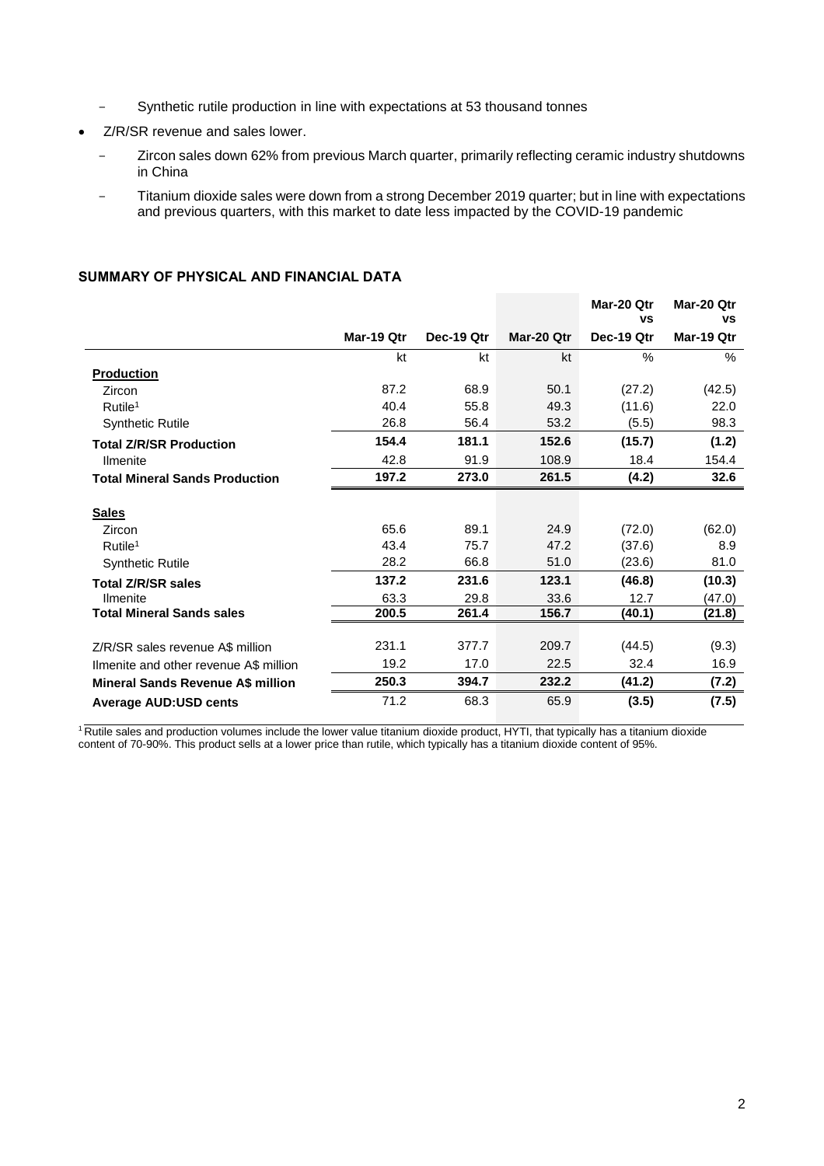- Synthetic rutile production in line with expectations at 53 thousand tonnes
- Z/R/SR revenue and sales lower.
	- Zircon sales down 62% from previous March quarter, primarily reflecting ceramic industry shutdowns in China
	- Titanium dioxide sales were down from a strong December 2019 quarter; but in line with expectations and previous quarters, with this market to date less impacted by the COVID-19 pandemic

|                                          |            |            |            | Mar-20 Otr<br><b>VS</b> | Mar-20 Otr<br>٧S |
|------------------------------------------|------------|------------|------------|-------------------------|------------------|
|                                          | Mar-19 Qtr | Dec-19 Qtr | Mar-20 Qtr | Dec-19 Qtr              | Mar-19 Qtr       |
|                                          | kt         | kt         | kt         | $\%$                    | $\%$             |
| <b>Production</b>                        |            |            |            |                         |                  |
| Zircon                                   | 87.2       | 68.9       | 50.1       | (27.2)                  | (42.5)           |
| Rutile <sup>1</sup>                      | 40.4       | 55.8       | 49.3       | (11.6)                  | 22.0             |
| <b>Synthetic Rutile</b>                  | 26.8       | 56.4       | 53.2       | (5.5)                   | 98.3             |
| <b>Total Z/R/SR Production</b>           | 154.4      | 181.1      | 152.6      | (15.7)                  | (1.2)            |
| <b>Ilmenite</b>                          | 42.8       | 91.9       | 108.9      | 18.4                    | 154.4            |
| <b>Total Mineral Sands Production</b>    | 197.2      | 273.0      | 261.5      | (4.2)                   | 32.6             |
|                                          |            |            |            |                         |                  |
| <b>Sales</b>                             |            |            |            |                         |                  |
| Zircon                                   | 65.6       | 89.1       | 24.9       | (72.0)                  | (62.0)           |
| Rutile <sup>1</sup>                      | 43.4       | 75.7       | 47.2       | (37.6)                  | 8.9              |
| <b>Synthetic Rutile</b>                  | 28.2       | 66.8       | 51.0       | (23.6)                  | 81.0             |
| <b>Total Z/R/SR sales</b>                | 137.2      | 231.6      | 123.1      | (46.8)                  | (10.3)           |
| <b>Ilmenite</b>                          | 63.3       | 29.8       | 33.6       | 12.7                    | (47.0)           |
| <b>Total Mineral Sands sales</b>         | 200.5      | 261.4      | 156.7      | (40.1)                  | (21.8)           |
|                                          |            |            |            |                         |                  |
| Z/R/SR sales revenue A\$ million         | 231.1      | 377.7      | 209.7      | (44.5)                  | (9.3)            |
| Ilmenite and other revenue A\$ million   | 19.2       | 17.0       | 22.5       | 32.4                    | 16.9             |
| <b>Mineral Sands Revenue A\$ million</b> | 250.3      | 394.7      | 232.2      | (41.2)                  | (7.2)            |
| <b>Average AUD:USD cents</b>             | 71.2       | 68.3       | 65.9       | (3.5)                   | (7.5)            |

# **SUMMARY OF PHYSICAL AND FINANCIAL DATA**

<sup>1</sup> Rutile sales and production volumes include the lower value titanium dioxide product, HYTI, that typically has a titanium dioxide content of 70-90%. This product sells at a lower price than rutile, which typically has a titanium dioxide content of 95%.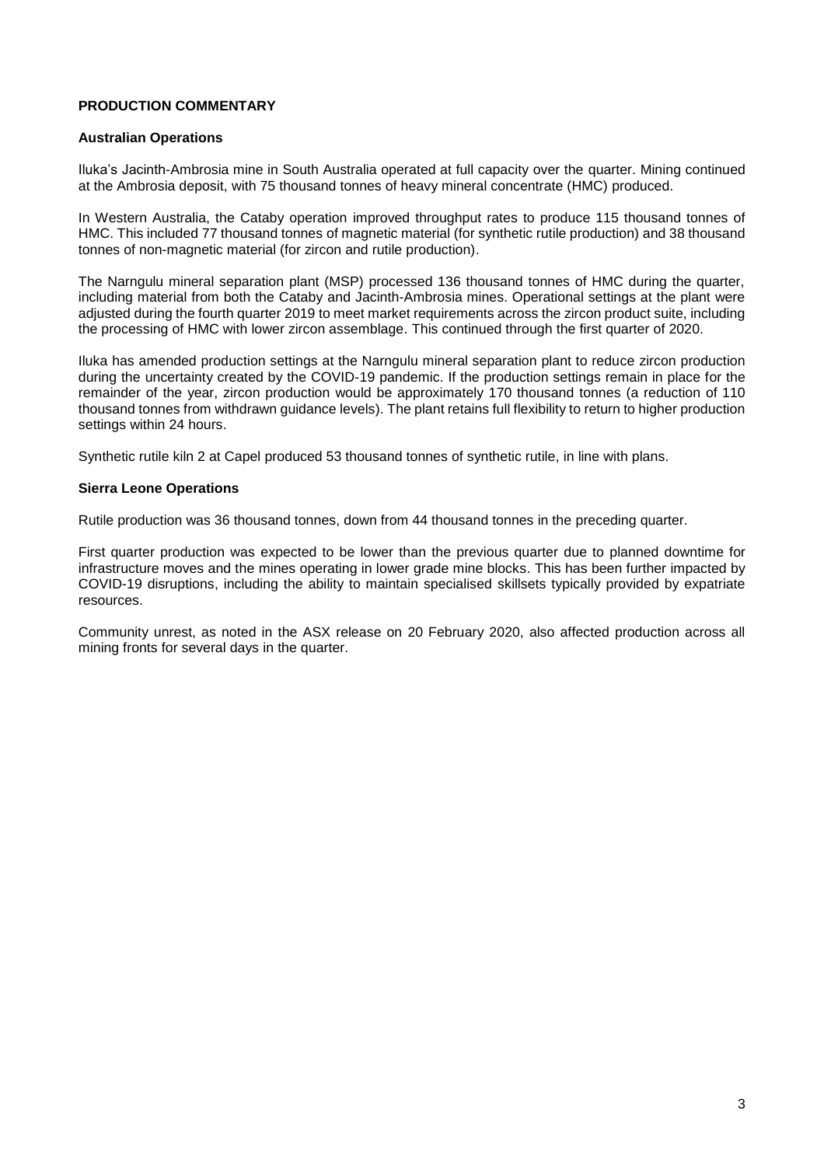# **PRODUCTION COMMENTARY**

#### **Australian Operations**

Iluka's Jacinth-Ambrosia mine in South Australia operated at full capacity over the quarter. Mining continued at the Ambrosia deposit, with 75 thousand tonnes of heavy mineral concentrate (HMC) produced.

In Western Australia, the Cataby operation improved throughput rates to produce 115 thousand tonnes of HMC. This included 77 thousand tonnes of magnetic material (for synthetic rutile production) and 38 thousand tonnes of non-magnetic material (for zircon and rutile production).

The Narngulu mineral separation plant (MSP) processed 136 thousand tonnes of HMC during the quarter, including material from both the Cataby and Jacinth-Ambrosia mines. Operational settings at the plant were adjusted during the fourth quarter 2019 to meet market requirements across the zircon product suite, including the processing of HMC with lower zircon assemblage. This continued through the first quarter of 2020.

Iluka has amended production settings at the Narngulu mineral separation plant to reduce zircon production during the uncertainty created by the COVID-19 pandemic. If the production settings remain in place for the remainder of the year, zircon production would be approximately 170 thousand tonnes (a reduction of 110 thousand tonnes from withdrawn guidance levels). The plant retains full flexibility to return to higher production settings within 24 hours.

Synthetic rutile kiln 2 at Capel produced 53 thousand tonnes of synthetic rutile, in line with plans.

#### **Sierra Leone Operations**

Rutile production was 36 thousand tonnes, down from 44 thousand tonnes in the preceding quarter.

First quarter production was expected to be lower than the previous quarter due to planned downtime for infrastructure moves and the mines operating in lower grade mine blocks. This has been further impacted by COVID-19 disruptions, including the ability to maintain specialised skillsets typically provided by expatriate resources.

Community unrest, as noted in the ASX release on 20 February 2020, also affected production across all mining fronts for several days in the quarter.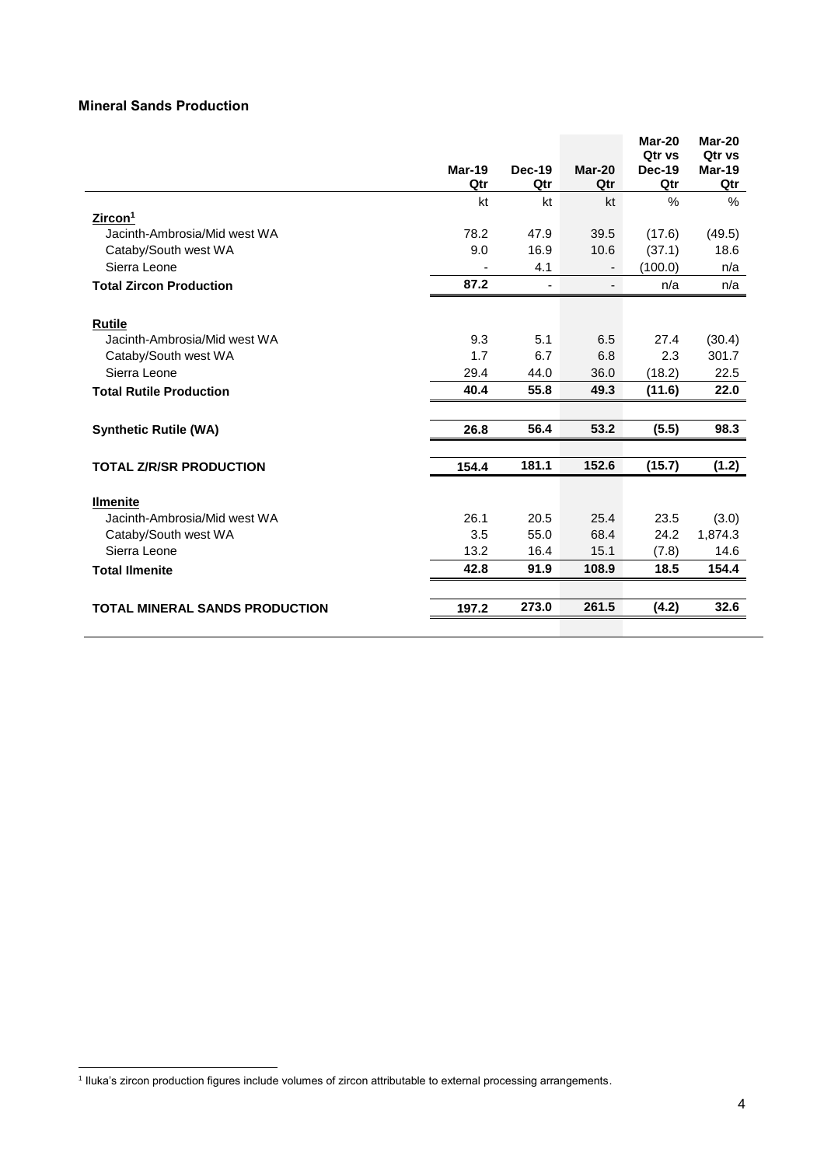# **Mineral Sands Production**

|                                       |        |                |                          | Mar-20                         | Mar-20           |
|---------------------------------------|--------|----------------|--------------------------|--------------------------------|------------------|
|                                       | Mar-19 | <b>Dec-19</b>  | Mar-20                   | <b>Qtr vs</b><br><b>Dec-19</b> | Qtr vs<br>Mar-19 |
|                                       | Qtr    | Qtr            | Qtr                      | Qtr                            | Qtr              |
|                                       | kt     | kt             | kt                       | $\frac{0}{0}$                  | $\%$             |
| Zircon <sup>1</sup>                   |        |                |                          |                                |                  |
| Jacinth-Ambrosia/Mid west WA          | 78.2   | 47.9           | 39.5                     | (17.6)                         | (49.5)           |
| Cataby/South west WA                  | 9.0    | 16.9           | 10.6                     | (37.1)                         | 18.6             |
| Sierra Leone                          |        | 4.1            |                          | (100.0)                        | n/a              |
| <b>Total Zircon Production</b>        | 87.2   | $\blacksquare$ | $\overline{\phantom{0}}$ | n/a                            | n/a              |
| <b>Rutile</b>                         |        |                |                          |                                |                  |
| Jacinth-Ambrosia/Mid west WA          | 9.3    | 5.1            | 6.5                      | 27.4                           | (30.4)           |
| Cataby/South west WA                  | 1.7    | 6.7            | 6.8                      | 2.3                            | 301.7            |
| Sierra Leone                          | 29.4   | 44.0           | 36.0                     | (18.2)                         | 22.5             |
| <b>Total Rutile Production</b>        | 40.4   | 55.8           | 49.3                     | (11.6)                         | 22.0             |
| <b>Synthetic Rutile (WA)</b>          | 26.8   | 56.4           | 53.2                     | (5.5)                          | 98.3             |
|                                       |        |                |                          |                                |                  |
| <b>TOTAL Z/R/SR PRODUCTION</b>        | 154.4  | 181.1          | 152.6                    | (15.7)                         | (1.2)            |
| <b>Ilmenite</b>                       |        |                |                          |                                |                  |
| Jacinth-Ambrosia/Mid west WA          | 26.1   | 20.5           | 25.4                     | 23.5                           | (3.0)            |
| Cataby/South west WA                  | 3.5    | 55.0           | 68.4                     | 24.2                           | 1,874.3          |
| Sierra Leone                          | 13.2   | 16.4           | 15.1                     | (7.8)                          | 14.6             |
| <b>Total Ilmenite</b>                 | 42.8   | 91.9           | 108.9                    | 18.5                           | 154.4            |
|                                       |        |                |                          |                                |                  |
| <b>TOTAL MINERAL SANDS PRODUCTION</b> | 197.2  | 273.0          | 261.5                    | (4.2)                          | 32.6             |

 1 Iluka's zircon production figures include volumes of zircon attributable to external processing arrangements.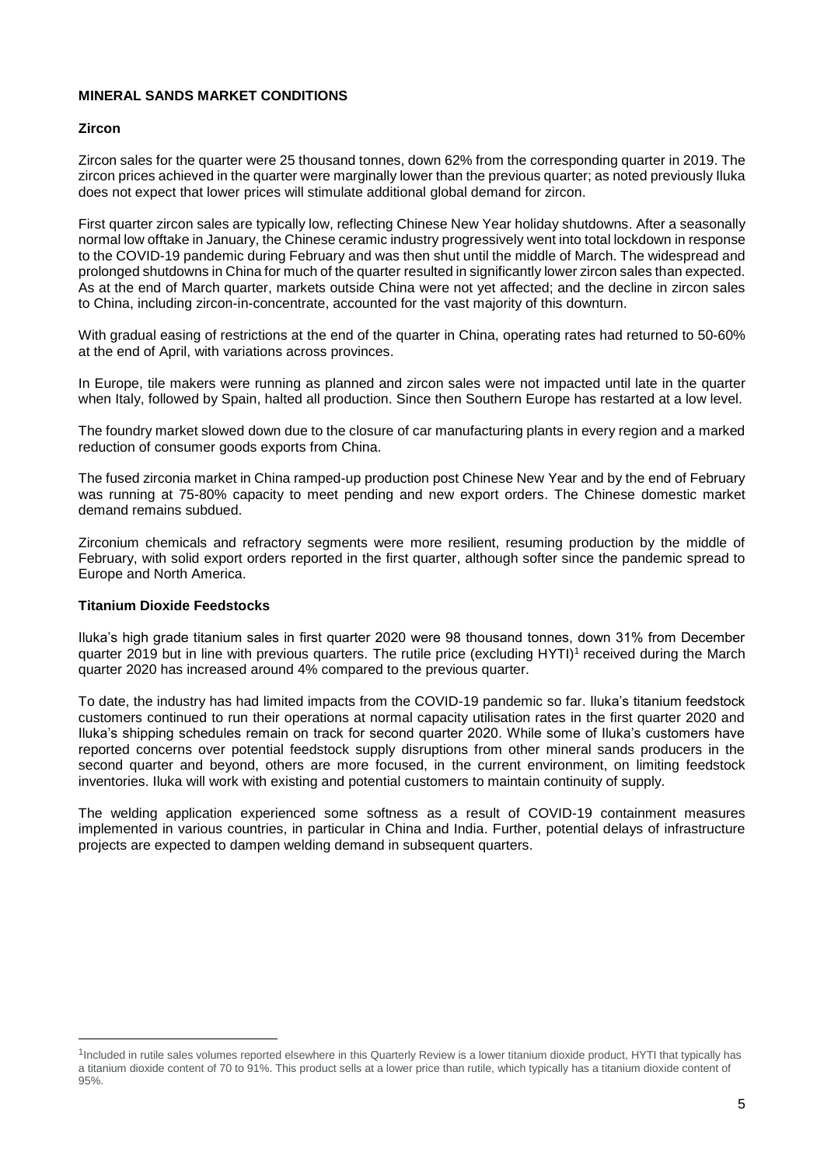# **MINERAL SANDS MARKET CONDITIONS**

# **Zircon**

Zircon sales for the quarter were 25 thousand tonnes, down 62% from the corresponding quarter in 2019. The zircon prices achieved in the quarter were marginally lower than the previous quarter; as noted previously Iluka does not expect that lower prices will stimulate additional global demand for zircon.

First quarter zircon sales are typically low, reflecting Chinese New Year holiday shutdowns. After a seasonally normal low offtake in January, the Chinese ceramic industry progressively went into total lockdown in response to the COVID-19 pandemic during February and was then shut until the middle of March. The widespread and prolonged shutdowns in China for much of the quarter resulted in significantly lower zircon sales than expected. As at the end of March quarter, markets outside China were not yet affected; and the decline in zircon sales to China, including zircon-in-concentrate, accounted for the vast majority of this downturn.

With gradual easing of restrictions at the end of the quarter in China, operating rates had returned to 50-60% at the end of April, with variations across provinces.

In Europe, tile makers were running as planned and zircon sales were not impacted until late in the quarter when Italy, followed by Spain, halted all production. Since then Southern Europe has restarted at a low level.

The foundry market slowed down due to the closure of car manufacturing plants in every region and a marked reduction of consumer goods exports from China.

The fused zirconia market in China ramped-up production post Chinese New Year and by the end of February was running at 75-80% capacity to meet pending and new export orders. The Chinese domestic market demand remains subdued.

Zirconium chemicals and refractory segments were more resilient, resuming production by the middle of February, with solid export orders reported in the first quarter, although softer since the pandemic spread to Europe and North America.

# **Titanium Dioxide Feedstocks**

 $\overline{a}$ 

Iluka's high grade titanium sales in first quarter 2020 were 98 thousand tonnes, down 31% from December quarter 2019 but in line with previous quarters. The rutile price (excluding HYTI)<sup>1</sup> received during the March quarter 2020 has increased around 4% compared to the previous quarter.

To date, the industry has had limited impacts from the COVID-19 pandemic so far. Iluka's titanium feedstock customers continued to run their operations at normal capacity utilisation rates in the first quarter 2020 and Iluka's shipping schedules remain on track for second quarter 2020. While some of Iluka's customers have reported concerns over potential feedstock supply disruptions from other mineral sands producers in the second quarter and beyond, others are more focused, in the current environment, on limiting feedstock inventories. Iluka will work with existing and potential customers to maintain continuity of supply.

The welding application experienced some softness as a result of COVID-19 containment measures implemented in various countries, in particular in China and India. Further, potential delays of infrastructure projects are expected to dampen welding demand in subsequent quarters.

<sup>&</sup>lt;sup>1</sup>Included in rutile sales volumes reported elsewhere in this Quarterly Review is a lower titanium dioxide product, HYTI that typically has a titanium dioxide content of 70 to 91%. This product sells at a lower price than rutile, which typically has a titanium dioxide content of 95%.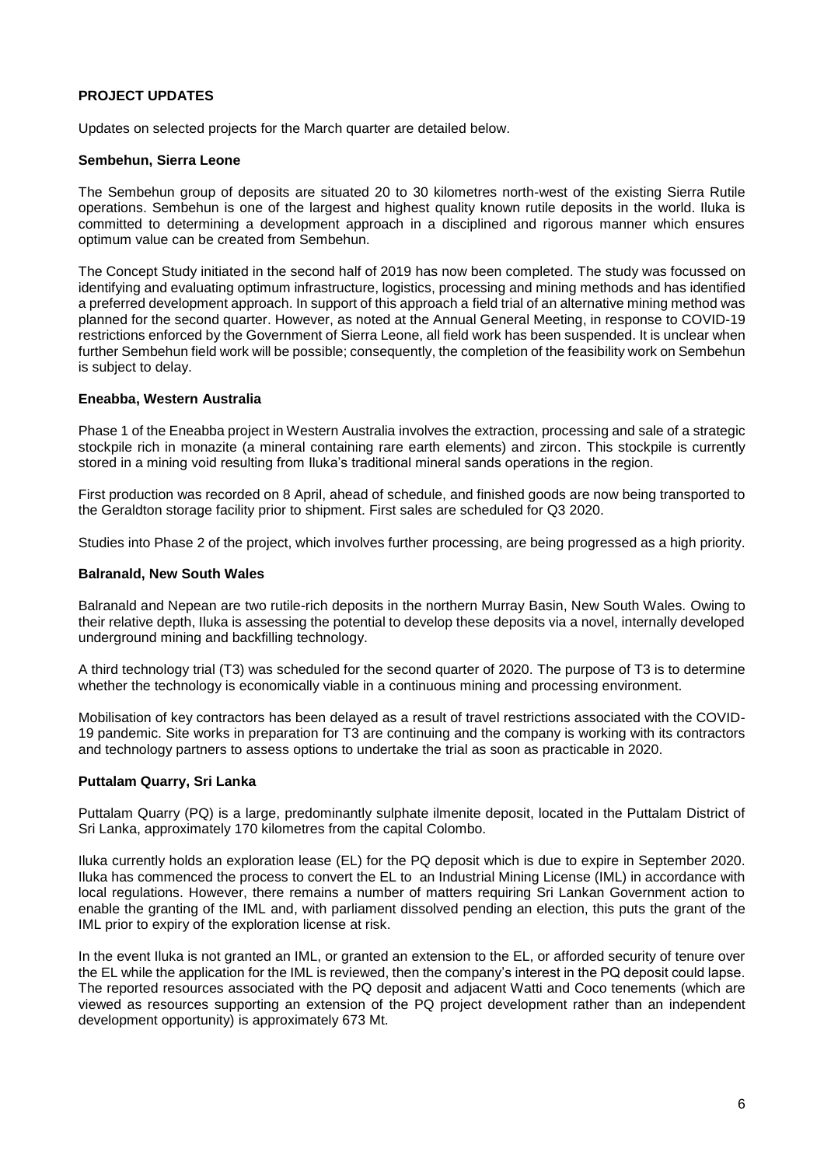## **PROJECT UPDATES**

Updates on selected projects for the March quarter are detailed below.

#### **Sembehun, Sierra Leone**

The Sembehun group of deposits are situated 20 to 30 kilometres north-west of the existing Sierra Rutile operations. Sembehun is one of the largest and highest quality known rutile deposits in the world. Iluka is committed to determining a development approach in a disciplined and rigorous manner which ensures optimum value can be created from Sembehun.

The Concept Study initiated in the second half of 2019 has now been completed. The study was focussed on identifying and evaluating optimum infrastructure, logistics, processing and mining methods and has identified a preferred development approach. In support of this approach a field trial of an alternative mining method was planned for the second quarter. However, as noted at the Annual General Meeting, in response to COVID-19 restrictions enforced by the Government of Sierra Leone, all field work has been suspended. It is unclear when further Sembehun field work will be possible; consequently, the completion of the feasibility work on Sembehun is subject to delay.

#### **Eneabba, Western Australia**

Phase 1 of the Eneabba project in Western Australia involves the extraction, processing and sale of a strategic stockpile rich in monazite (a mineral containing rare earth elements) and zircon. This stockpile is currently stored in a mining void resulting from Iluka's traditional mineral sands operations in the region.

First production was recorded on 8 April, ahead of schedule, and finished goods are now being transported to the Geraldton storage facility prior to shipment. First sales are scheduled for Q3 2020.

Studies into Phase 2 of the project, which involves further processing, are being progressed as a high priority.

#### **Balranald, New South Wales**

Balranald and Nepean are two rutile-rich deposits in the northern Murray Basin, New South Wales. Owing to their relative depth, Iluka is assessing the potential to develop these deposits via a novel, internally developed underground mining and backfilling technology.

A third technology trial (T3) was scheduled for the second quarter of 2020. The purpose of T3 is to determine whether the technology is economically viable in a continuous mining and processing environment.

Mobilisation of key contractors has been delayed as a result of travel restrictions associated with the COVID-19 pandemic. Site works in preparation for T3 are continuing and the company is working with its contractors and technology partners to assess options to undertake the trial as soon as practicable in 2020.

#### **Puttalam Quarry, Sri Lanka**

Puttalam Quarry (PQ) is a large, predominantly sulphate ilmenite deposit, located in the Puttalam District of Sri Lanka, approximately 170 kilometres from the capital Colombo.

Iluka currently holds an exploration lease (EL) for the PQ deposit which is due to expire in September 2020. Iluka has commenced the process to convert the EL to an Industrial Mining License (IML) in accordance with local regulations. However, there remains a number of matters requiring Sri Lankan Government action to enable the granting of the IML and, with parliament dissolved pending an election, this puts the grant of the IML prior to expiry of the exploration license at risk.

In the event Iluka is not granted an IML, or granted an extension to the EL, or afforded security of tenure over the EL while the application for the IML is reviewed, then the company's interest in the PQ deposit could lapse. The reported resources associated with the PQ deposit and adjacent Watti and Coco tenements (which are viewed as resources supporting an extension of the PQ project development rather than an independent development opportunity) is approximately 673 Mt.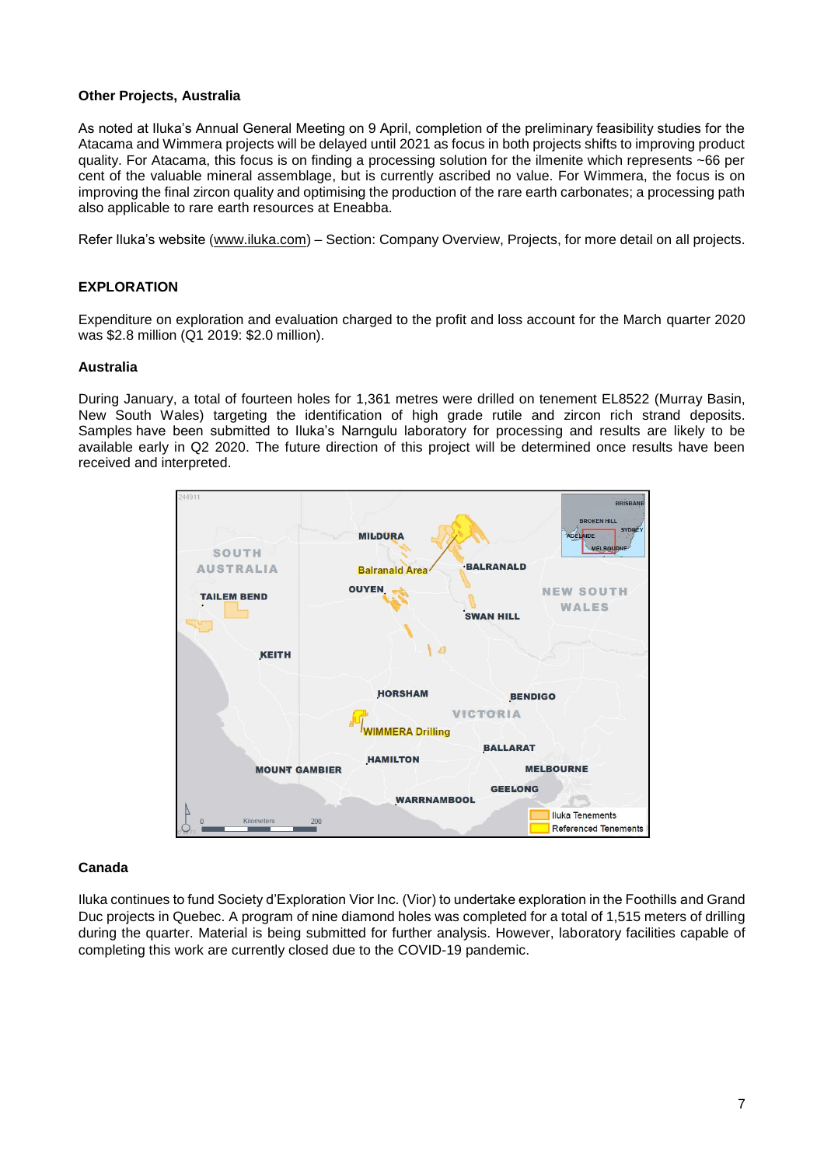#### **Other Projects, Australia**

As noted at Iluka's Annual General Meeting on 9 April, completion of the preliminary feasibility studies for the Atacama and Wimmera projects will be delayed until 2021 as focus in both projects shifts to improving product quality. For Atacama, this focus is on finding a processing solution for the ilmenite which represents ~66 per cent of the valuable mineral assemblage, but is currently ascribed no value. For Wimmera, the focus is on improving the final zircon quality and optimising the production of the rare earth carbonates; a processing path also applicable to rare earth resources at Eneabba.

Refer Iluka's website [\(www.iluka.com\)](http://www.iluka.com/) – Section: Company Overview, Projects, for more detail on all projects.

## **EXPLORATION**

Expenditure on exploration and evaluation charged to the profit and loss account for the March quarter 2020 was \$2.8 million (Q1 2019: \$2.0 million).

#### **Australia**

During January, a total of fourteen holes for 1,361 metres were drilled on tenement EL8522 (Murray Basin, New South Wales) targeting the identification of high grade rutile and zircon rich strand deposits. Samples have been submitted to Iluka's Narngulu laboratory for processing and results are likely to be available early in Q2 2020. The future direction of this project will be determined once results have been received and interpreted.



#### **Canada**

Iluka continues to fund Society d'Exploration Vior Inc. (Vior) to undertake exploration in the Foothills and Grand Duc projects in Quebec. A program of nine diamond holes was completed for a total of 1,515 meters of drilling during the quarter. Material is being submitted for further analysis. However, laboratory facilities capable of completing this work are currently closed due to the COVID-19 pandemic.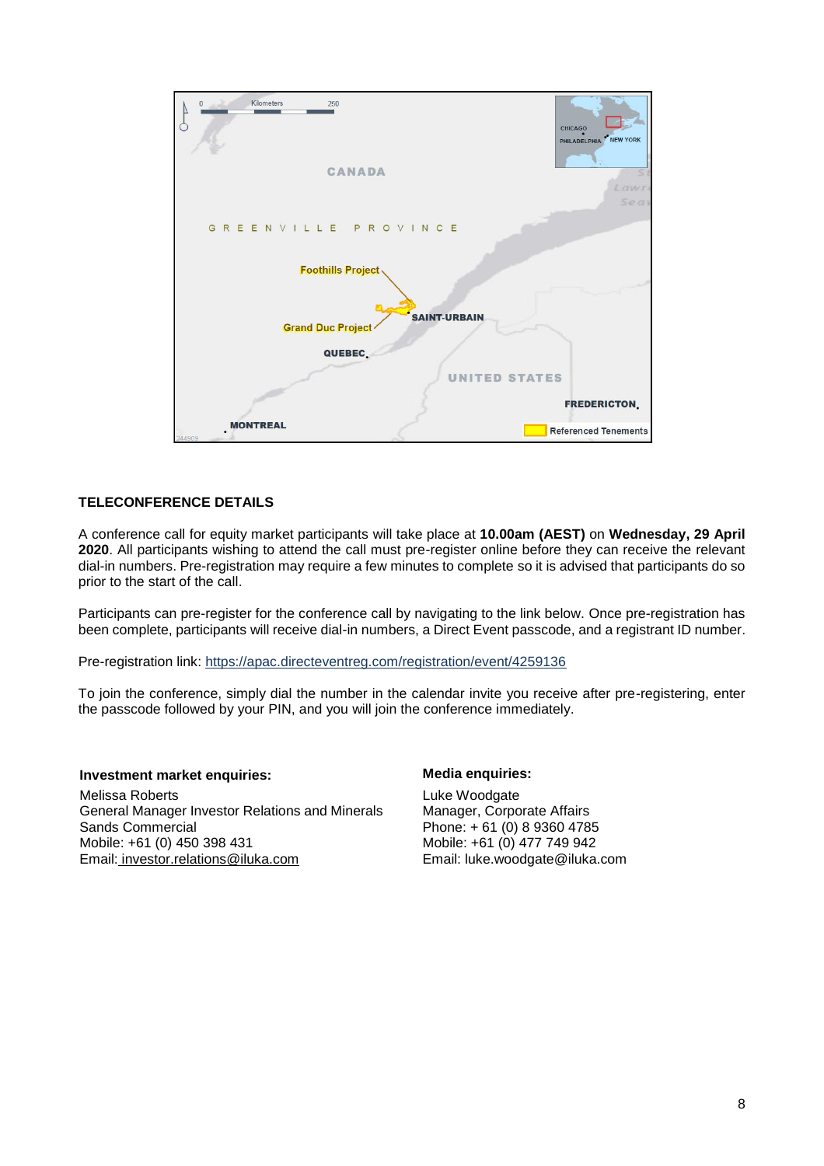

# **TELECONFERENCE DETAILS**

A conference call for equity market participants will take place at **10.00am (AEST)** on **Wednesday, 29 April 2020**. All participants wishing to attend the call must pre-register online before they can receive the relevant dial-in numbers. Pre-registration may require a few minutes to complete so it is advised that participants do so prior to the start of the call.

Participants can pre-register for the conference call by navigating to the link below. Once pre-registration has been complete, participants will receive dial-in numbers, a Direct Event passcode, and a registrant ID number.

Pre-registration link:<https://apac.directeventreg.com/registration/event/4259136>

To join the conference, simply dial the number in the calendar invite you receive after pre-registering, enter the passcode followed by your PIN, and you will join the conference immediately.

#### **Investment market enquiries: Media enquiries:**

Melissa Roberts General Manager Investor Relations and Minerals Sands Commercial Mobile: +61 (0) 450 398 431 Email: [investor.relations@iluka.com](mailto:investor.relations@iluka.com)

Luke Woodgate Manager, Corporate Affairs Phone: + 61 (0) 8 9360 4785 Mobile: +61 (0) 477 749 942 Email: [luke.woodgate@iluka.com](mailto:luke.woodgate@iluka.com)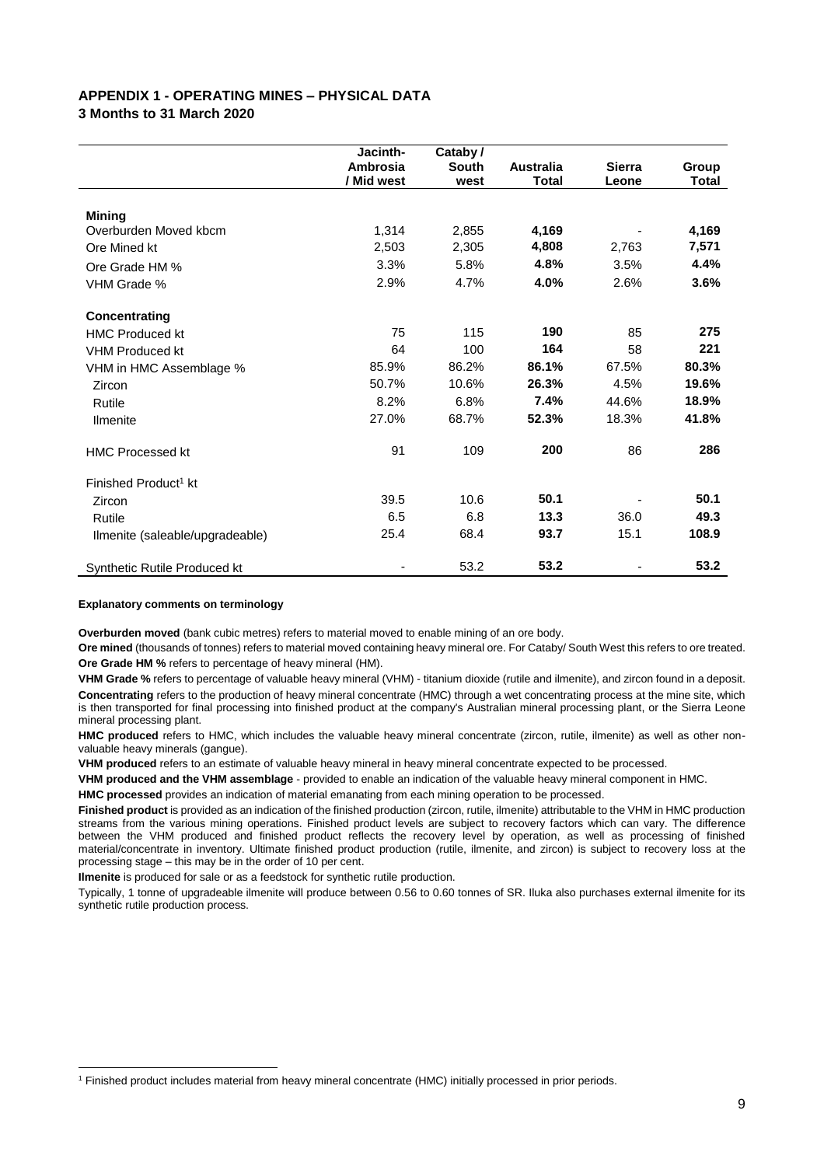#### **APPENDIX 1 - OPERATING MINES – PHYSICAL DATA 3 Months to 31 March 2020**

|                                     | Jacinth-<br>Ambrosia<br>/ Mid west | Cataby /<br>South<br>west | <b>Australia</b><br><b>Total</b> | <b>Sierra</b><br>Leone | Group<br>Total |
|-------------------------------------|------------------------------------|---------------------------|----------------------------------|------------------------|----------------|
|                                     |                                    |                           |                                  |                        |                |
| <b>Mining</b>                       |                                    |                           |                                  |                        |                |
| Overburden Moved kbcm               | 1,314                              | 2,855                     | 4,169                            |                        | 4,169          |
| Ore Mined kt                        | 2,503                              | 2,305                     | 4,808                            | 2,763                  | 7,571          |
| Ore Grade HM %                      | 3.3%                               | 5.8%                      | 4.8%                             | 3.5%                   | 4.4%           |
| VHM Grade %                         | 2.9%                               | 4.7%                      | 4.0%                             | 2.6%                   | 3.6%           |
| Concentrating                       |                                    |                           |                                  |                        |                |
| <b>HMC Produced kt</b>              | 75                                 | 115                       | 190                              | 85                     | 275            |
| <b>VHM Produced kt</b>              | 64                                 | 100                       | 164                              | 58                     | 221            |
| VHM in HMC Assemblage %             | 85.9%                              | 86.2%                     | 86.1%                            | 67.5%                  | 80.3%          |
| Zircon                              | 50.7%                              | 10.6%                     | 26.3%                            | 4.5%                   | 19.6%          |
| Rutile                              | 8.2%                               | 6.8%                      | 7.4%                             | 44.6%                  | 18.9%          |
| Ilmenite                            | 27.0%                              | 68.7%                     | 52.3%                            | 18.3%                  | 41.8%          |
| <b>HMC Processed kt</b>             | 91                                 | 109                       | 200                              | 86                     | 286            |
| Finished Product <sup>1</sup> kt    |                                    |                           |                                  |                        |                |
| Zircon                              | 39.5                               | 10.6                      | 50.1                             |                        | 50.1           |
| Rutile                              | 6.5                                | 6.8                       | 13.3                             | 36.0                   | 49.3           |
| Ilmenite (saleable/upgradeable)     | 25.4                               | 68.4                      | 93.7                             | 15.1                   | 108.9          |
| <b>Synthetic Rutile Produced kt</b> |                                    | 53.2                      | 53.2                             |                        | 53.2           |

#### **Explanatory comments on terminology**

 $\overline{\phantom{a}}$ 

**Overburden moved** (bank cubic metres) refers to material moved to enable mining of an ore body.

**Ore mined** (thousands of tonnes) refers to material moved containing heavy mineral ore. For Cataby/ South West this refers to ore treated. **Ore Grade HM %** refers to percentage of heavy mineral (HM).

**VHM Grade %** refers to percentage of valuable heavy mineral (VHM) - titanium dioxide (rutile and ilmenite), and zircon found in a deposit. **Concentrating** refers to the production of heavy mineral concentrate (HMC) through a wet concentrating process at the mine site, which is then transported for final processing into finished product at the company's Australian mineral processing plant, or the Sierra Leone mineral processing plant.

**HMC produced** refers to HMC, which includes the valuable heavy mineral concentrate (zircon, rutile, ilmenite) as well as other nonvaluable heavy minerals (gangue).

**VHM produced** refers to an estimate of valuable heavy mineral in heavy mineral concentrate expected to be processed.

**VHM produced and the VHM assemblage** - provided to enable an indication of the valuable heavy mineral component in HMC.

**HMC processed** provides an indication of material emanating from each mining operation to be processed.

**Finished product** is provided as an indication of the finished production (zircon, rutile, ilmenite) attributable to the VHM in HMC production streams from the various mining operations. Finished product levels are subject to recovery factors which can vary. The difference between the VHM produced and finished product reflects the recovery level by operation, as well as processing of finished material/concentrate in inventory. Ultimate finished product production (rutile, ilmenite, and zircon) is subject to recovery loss at the processing stage – this may be in the order of 10 per cent.

**Ilmenite** is produced for sale or as a feedstock for synthetic rutile production.

Typically, 1 tonne of upgradeable ilmenite will produce between 0.56 to 0.60 tonnes of SR. Iluka also purchases external ilmenite for its synthetic rutile production process.

<sup>1</sup> Finished product includes material from heavy mineral concentrate (HMC) initially processed in prior periods.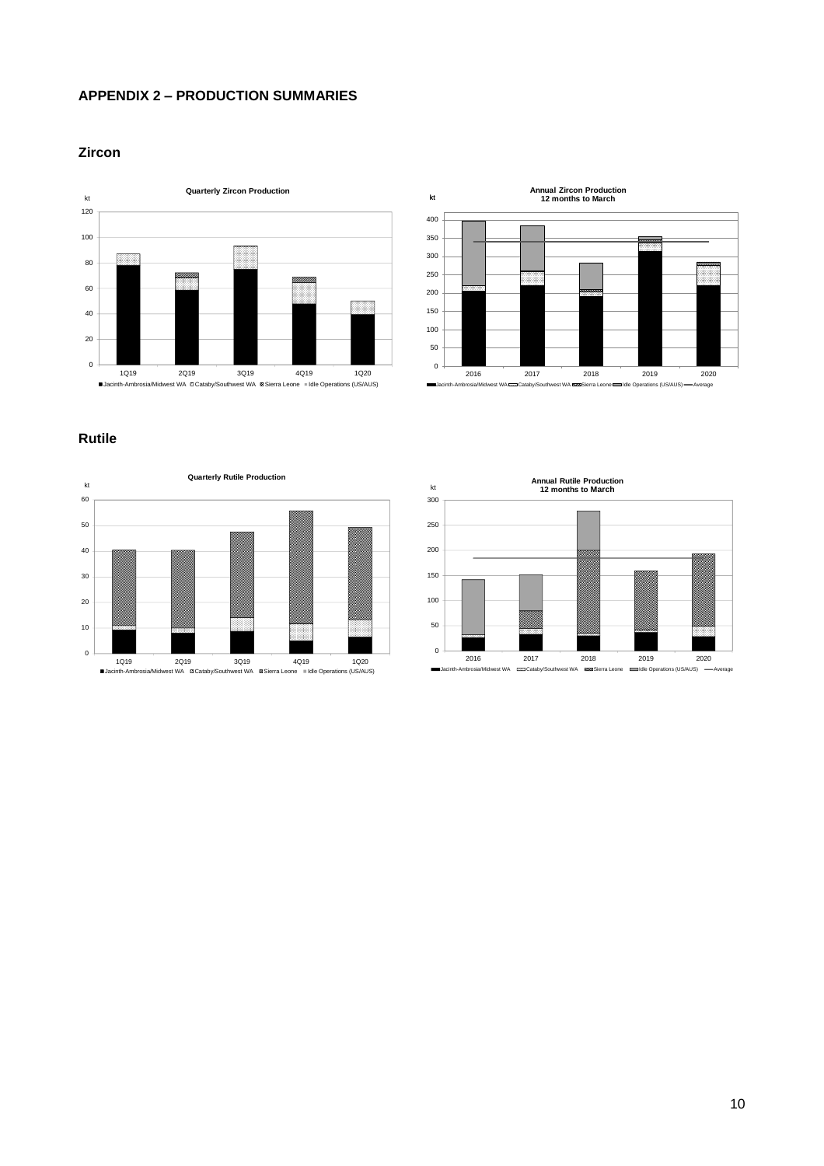# **APPENDIX 2 – PRODUCTION SUMMARIES**

#### **Zircon**





# **Rutile**